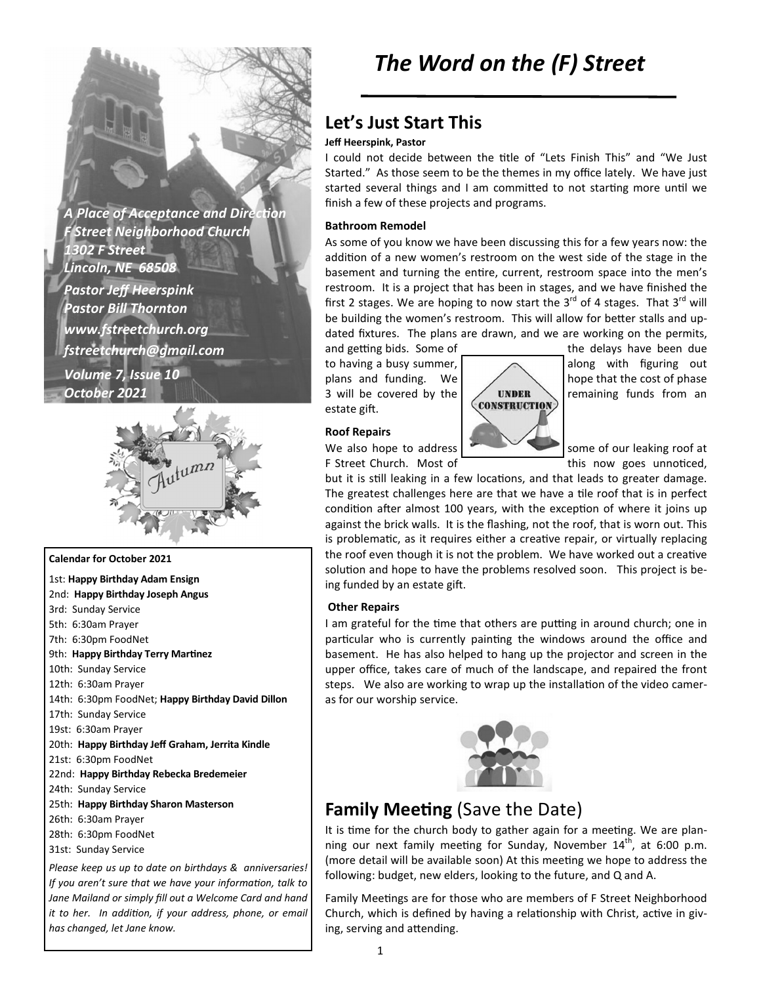**A Place of Acceptance and Direction** *F Street Neighborhood Church 1302 F Street Lincoln, NE 68508 Pastor Jeff Heerspink Pastor Bill Thornton www.fstreetchurch.org fstreetchurch@gmail.com Volume 7, Issue 10 October 2021* 



### **Calendar for October 2021**

1st: **Happy Birthday Adam Ensign**  2nd: **Happy Birthday Joseph Angus**  3rd: Sunday Service 5th: 6:30am Prayer 7th: 6:30pm FoodNet 9th: Happy Birthday Terry Martinez 10th: Sunday Service 12th: 6:30am Prayer 14th: 6:30pm FoodNet; **Happy Birthday David Dillon**  17th: Sunday Service 19st: 6:30am Prayer 20th: **Happy Birthday Jeff Graham, Jerrita Kindle**  21st: 6:30pm FoodNet 22nd: **Happy Birthday Rebecka Bredemeier**  24th: Sunday Service 25th: **Happy Birthday Sharon Masterson**  26th: 6:30am Prayer 28th: 6:30pm FoodNet 31st: Sunday Service *Please keep us up to date on birthdays & anniversaries!* 

*If you aren't sure that we have your information, talk to Jane Mailand or simply fill out a Welcome Card and hand it to her. In addition, if your address, phone, or email has changed, let Jane know.* 

## **Let's Just Start This**

### **Jeff Heerspink, Pastor**

I could not decide between the title of "Lets Finish This" and "We Just Started." As those seem to be the themes in my office lately. We have just started several things and I am committed to not starting more until we finish a few of these projects and programs.

#### **Bathroom Remodel**

As some of you know we have been discussing this for a few years now: the addition of a new women's restroom on the west side of the stage in the basement and turning the entire, current, restroom space into the men's restroom. It is a project that has been in stages, and we have finished the first 2 stages. We are hoping to now start the  $3^{rd}$  of 4 stages. That  $3^{rd}$  will be building the women's restroom. This will allow for better stalls and updated fixtures. The plans are drawn, and we are working on the permits,

3 will be covered by the  $\sim$  UNDER remaining funds from an extate gift estate gift.

#### **Roof Repairs**



and getting bids. Some of the delays have been due to having a busy summer,  $\sim$  along with figuring out plans and funding. We  $\sim$  hope that the cost of phase

We also hope to address  $\sim$  some of our leaking roof at F Street Church. Most of this now goes unnoticed,

but it is still leaking in a few locations, and that leads to greater damage. The greatest challenges here are that we have a tile roof that is in perfect condition after almost 100 years, with the exception of where it joins up against the brick walls. It is the flashing, not the roof, that is worn out. This is problematic, as it requires either a creative repair, or virtually replacing the roof even though it is not the problem. We have worked out a creative solution and hope to have the problems resolved soon. This project is being funded by an estate gift.

#### **Other Repairs**

I am grateful for the time that others are putting in around church; one in particular who is currently painting the windows around the office and basement. He has also helped to hang up the projector and screen in the upper office, takes care of much of the landscape, and repaired the front steps. We also are working to wrap up the installation of the video cameras for our worship service.



## **Family Meeting (Save the Date)**

It is time for the church body to gather again for a meeting. We are planning our next family meeting for Sunday, November  $14<sup>th</sup>$ , at 6:00 p.m. (more detail will be available soon) At this meeting we hope to address the following: budget, new elders, looking to the future, and Q and A.

Family Meetings are for those who are members of F Street Neighborhood Church, which is defined by having a relationship with Christ, active in giving, serving and attending.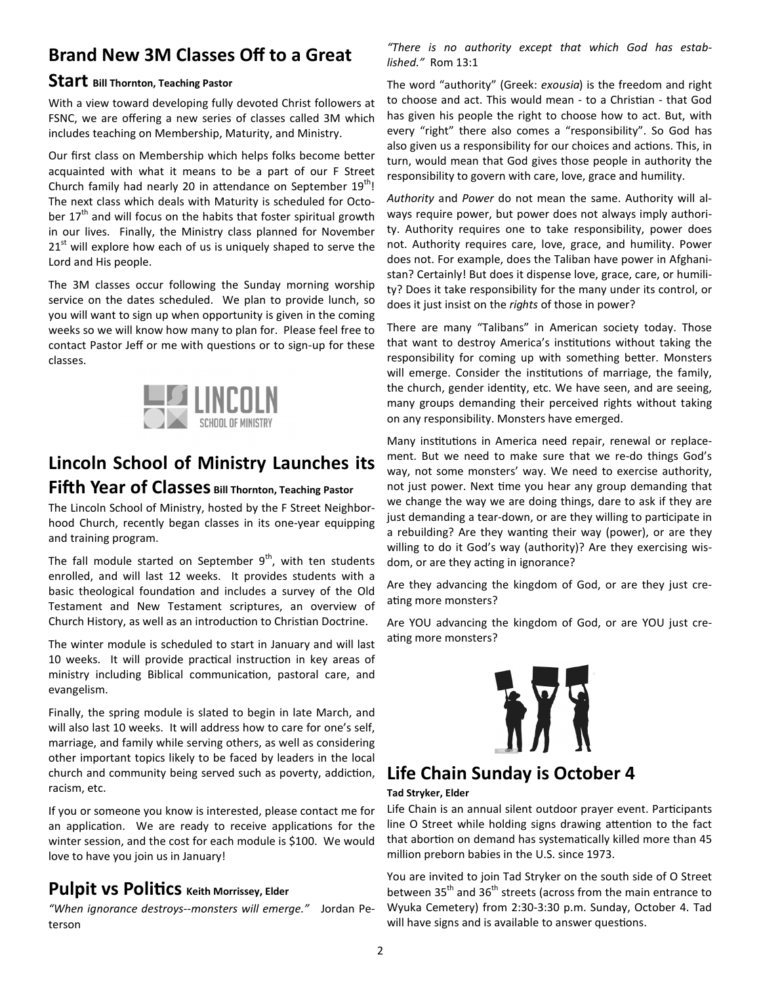# **Brand New 3M Classes Off to a Great**

### **Start Bill Thornton, Teaching Pastor**

With a view toward developing fully devoted Christ followers at FSNC, we are offering a new series of classes called 3M which includes teaching on Membership, Maturity, and Ministry.

Our first class on Membership which helps folks become better acquainted with what it means to be a part of our F Street Church family had nearly 20 in attendance on September  $19<sup>tn</sup>$ ! The next class which deals with Maturity is scheduled for October  $17<sup>th</sup>$  and will focus on the habits that foster spiritual growth in our lives. Finally, the Ministry class planned for November  $21<sup>st</sup>$  will explore how each of us is uniquely shaped to serve the Lord and His people.

The 3M classes occur following the Sunday morning worship service on the dates scheduled. We plan to provide lunch, so you will want to sign up when opportunity is given in the coming weeks so we will know how many to plan for. Please feel free to contact Pastor Jeff or me with questions or to sign-up for these classes.



# **Lincoln School of Ministry Launches its Fifth Year of Classes** Bill Thornton, Teaching Pastor

The Lincoln School of Ministry, hosted by the F Street Neighborhood Church, recently began classes in its one-year equipping and training program.

The fall module started on September  $9<sup>th</sup>$ , with ten students enrolled, and will last 12 weeks. It provides students with a basic theological foundation and includes a survey of the Old Testament and New Testament scriptures, an overview of Church History, as well as an introduction to Christian Doctrine.

The winter module is scheduled to start in January and will last 10 weeks. It will provide practical instruction in key areas of ministry including Biblical communication, pastoral care, and evangelism.

Finally, the spring module is slated to begin in late March, and will also last 10 weeks. It will address how to care for one's self, marriage, and family while serving others, as well as considering other important topics likely to be faced by leaders in the local church and community being served such as poverty, addiction, racism, etc.

If you or someone you know is interested, please contact me for an application. We are ready to receive applications for the winter session, and the cost for each module is \$100. We would love to have you join us in January!

### **Pulpit VS Politics** Keith Morrissey, Elder

*"When ignorance destroys--monsters will emerge."* Jordan Peterson

*"There is no authority except that which God has established."* Rom 13:1

The word "authority" (Greek: *exousia*) is the freedom and right to choose and act. This would mean - to a Christian - that God has given his people the right to choose how to act. But, with every "right" there also comes a "responsibility". So God has also given us a responsibility for our choices and actions. This, in turn, would mean that God gives those people in authority the responsibility to govern with care, love, grace and humility.

*Authority* and *Power* do not mean the same. Authority will always require power, but power does not always imply authority. Authority requires one to take responsibility, power does not. Authority requires care, love, grace, and humility. Power does not. For example, does the Taliban have power in Afghanistan? Certainly! But does it dispense love, grace, care, or humility? Does it take responsibility for the many under its control, or does it just insist on the *rights* of those in power?

There are many "Talibans" in American society today. Those that want to destroy America's institutions without taking the responsibility for coming up with something better. Monsters will emerge. Consider the institutions of marriage, the family, the church, gender identity, etc. We have seen, and are seeing, many groups demanding their perceived rights without taking on any responsibility. Monsters have emerged.

Many institutions in America need repair, renewal or replacement. But we need to make sure that we re-do things God's way, not some monsters' way. We need to exercise authority, not just power. Next time you hear any group demanding that we change the way we are doing things, dare to ask if they are just demanding a tear-down, or are they willing to participate in a rebuilding? Are they wanting their way (power), or are they willing to do it God's way (authority)? Are they exercising wisdom, or are they acting in ignorance?

Are they advancing the kingdom of God, or are they just creating more monsters?

Are YOU advancing the kingdom of God, or are YOU just creating more monsters?



# **Life Chain Sunday is October 4**

### **Tad Stryker, Elder**

Life Chain is an annual silent outdoor prayer event. Participants line O Street while holding signs drawing attention to the fact that abortion on demand has systematically killed more than 45 million preborn babies in the U.S. since 1973.

You are invited to join Tad Stryker on the south side of O Street between  $35<sup>th</sup>$  and  $36<sup>th</sup>$  streets (across from the main entrance to Wyuka Cemetery) from 2:30-3:30 p.m. Sunday, October 4. Tad will have signs and is available to answer questions.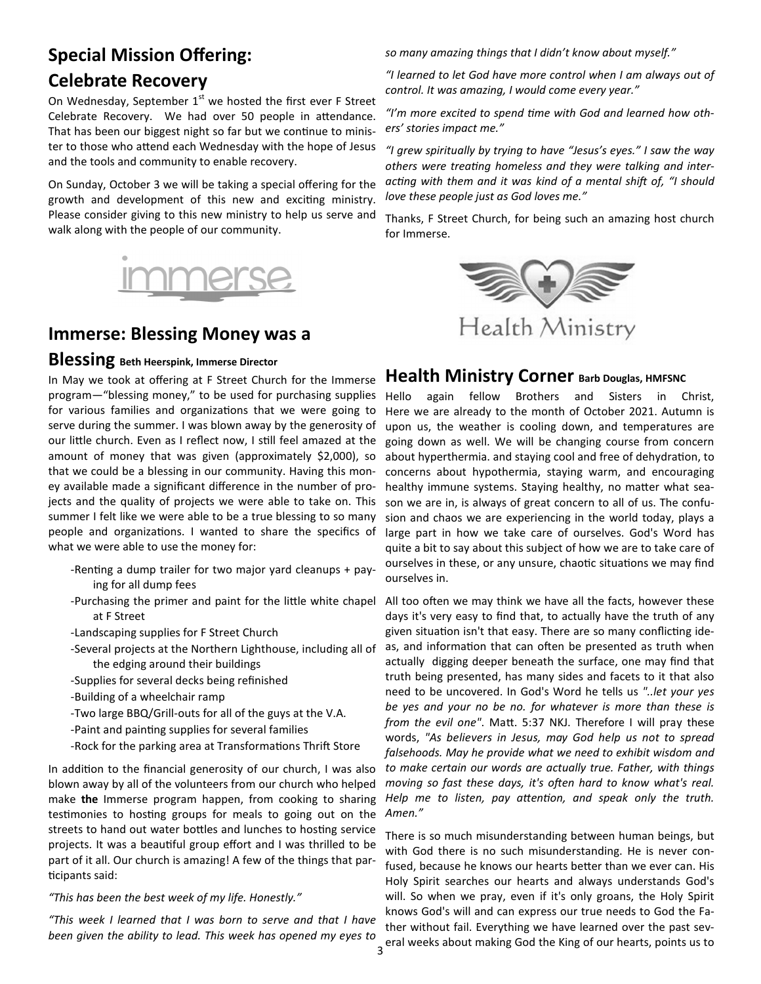## **Special Mission Offering:**

### **Celebrate Recovery**

On Wednesday, September  $1<sup>st</sup>$  we hosted the first ever F Street Celebrate Recovery. We had over 50 people in attendance. That has been our biggest night so far but we continue to minister to those who attend each Wednesday with the hope of Jesus and the tools and community to enable recovery.

On Sunday, October 3 we will be taking a special offering for the growth and development of this new and exciting ministry. Please consider giving to this new ministry to help us serve and walk along with the people of our community.



## **Immerse: Blessing Money was a**

### **Blessing Beth Heerspink, Immerse Director**

In May we took at offering at F Street Church for the Immerse program—"blessing money," to be used for purchasing supplies for various families and organizations that we were going to serve during the summer. I was blown away by the generosity of our little church. Even as I reflect now, I still feel amazed at the amount of money that was given (approximately \$2,000), so that we could be a blessing in our community. Having this money available made a significant difference in the number of projects and the quality of projects we were able to take on. This summer I felt like we were able to be a true blessing to so many people and organizations. I wanted to share the specifics of what we were able to use the money for:

- -Renting a dump trailer for two major yard cleanups + paying for all dump fees
- -Purchasing the primer and paint for the little white chapel at F Street
- -Landscaping supplies for F Street Church
- -Several projects at the Northern Lighthouse, including all of the edging around their buildings
- -Supplies for several decks being refinished
- -Building of a wheelchair ramp
- -Two large BBQ/Grill-outs for all of the guys at the V.A.
- -Paint and painting supplies for several families
- -Rock for the parking area at Transformations Thrift Store

In addition to the financial generosity of our church, I was also blown away by all of the volunteers from our church who helped make **the** Immerse program happen, from cooking to sharing testimonies to hosting groups for meals to going out on the streets to hand out water bottles and lunches to hosting service projects. It was a beautiful group effort and I was thrilled to be part of it all. Our church is amazing! A few of the things that par ticipants said:

#### *"This has been the best week of my life. Honestly."*

*"This week I learned that I was born to serve and that I have been given the ability to lead. This week has opened my eyes to* 

*so many amazing things that I didn't know about myself."* 

*"I learned to let God have more control when I am always out of control. It was amazing, I would come every year."* 

"I'm more excited to spend time with God and learned how oth*ers' stories impact me."* 

*"I grew spiritually by trying to have "Jesus's eyes." I saw the way*  others were treating homeless and they were talking and inter*acting with them and it was kind of a mental shift of, "I should love these people just as God loves me."* 

Thanks, F Street Church, for being such an amazing host church for Immerse.



### **Health Ministry Corner Barb Douglas, HMFSNC**

Hello again fellow Brothers and Sisters in Christ, Here we are already to the month of October 2021. Autumn is upon us, the weather is cooling down, and temperatures are going down as well. We will be changing course from concern about hyperthermia. and staying cool and free of dehydration, to concerns about hypothermia, staying warm, and encouraging healthy immune systems. Staying healthy, no matter what season we are in, is always of great concern to all of us. The confusion and chaos we are experiencing in the world today, plays a large part in how we take care of ourselves. God's Word has quite a bit to say about this subject of how we are to take care of ourselves in these, or any unsure, chaotic situations we may find ourselves in.

All too often we may think we have all the facts, however these days it's very easy to find that, to actually have the truth of any given situation isn't that easy. There are so many conflicting ideas, and information that can often be presented as truth when actually digging deeper beneath the surface, one may find that truth being presented, has many sides and facets to it that also need to be uncovered. In God's Word he tells us *"..let your yes be yes and your no be no. for whatever is more than these is from the evil one"*. Matt. 5:37 NKJ. Therefore I will pray these words, *"As believers in Jesus, may God help us not to spread falsehoods. May he provide what we need to exhibit wisdom and to make certain our words are actually true. Father, with things moving so fast these days, it's often hard to know what's real. Help me to listen, pay attention, and speak only the truth. Amen."* 

3 eral weeks about making God the King of our hearts, points us to There is so much misunderstanding between human beings, but with God there is no such misunderstanding. He is never confused, because he knows our hearts better than we ever can. His Holy Spirit searches our hearts and always understands God's will. So when we pray, even if it's only groans, the Holy Spirit knows God's will and can express our true needs to God the Father without fail. Everything we have learned over the past sev-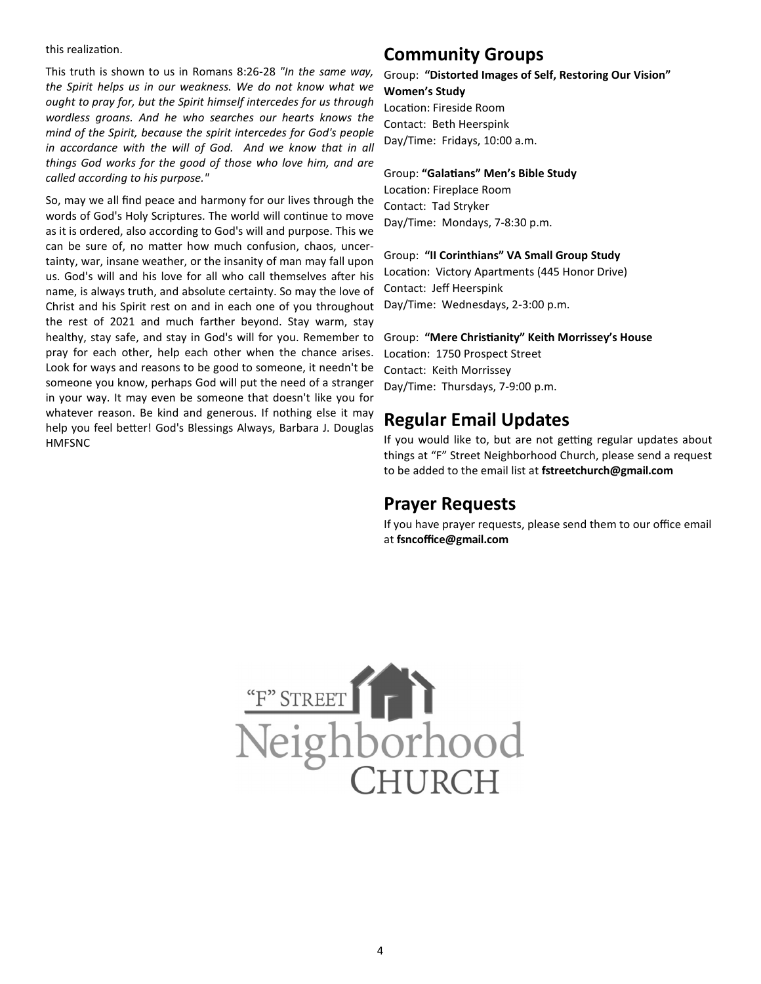#### this realization.

This truth is shown to us in Romans 8:26-28 *"In the same way, the Spirit helps us in our weakness. We do not know what we ought to pray for, but the Spirit himself intercedes for us through wordless groans. And he who searches our hearts knows the mind of the Spirit, because the spirit intercedes for God's people*  in accordance with the will of God. And we know that in all *things God works for the good of those who love him, and are called according to his purpose."* 

So, may we all find peace and harmony for our lives through the words of God's Holy Scriptures. The world will continue to move as it is ordered, also according to God's will and purpose. This we can be sure of, no matter how much confusion, chaos, uncertainty, war, insane weather, or the insanity of man may fall upon us. God's will and his love for all who call themselves after his name, is always truth, and absolute certainty. So may the love of Christ and his Spirit rest on and in each one of you throughout the rest of 2021 and much farther beyond. Stay warm, stay healthy, stay safe, and stay in God's will for you. Remember to pray for each other, help each other when the chance arises. Look for ways and reasons to be good to someone, it needn't be someone you know, perhaps God will put the need of a stranger in your way. It may even be someone that doesn't like you for whatever reason. Be kind and generous. If nothing else it may help you feel better! God's Blessings Always, Barbara J. Douglas HMFSNC

### **Community Groups**

### Group: **"Distorted Images of Self, Restoring Our Vision" Women's Study**

Location: Fireside Room Contact: Beth Heerspink Day/Time: Fridays, 10:00 a.m.

### Group: "Galatians" Men's Bible Study

Location: Fireplace Room Contact: Tad Stryker Day/Time: Mondays, 7-8:30 p.m.

### Group: **"II Corinthians" VA Small Group Study**

Location: Victory Apartments (445 Honor Drive) Contact: Jeff Heerspink Day/Time: Wednesdays, 2-3:00 p.m.

### Group: **"Mere Chris!anity" Keith Morrissey's House**

Location: 1750 Prospect Street Contact: Keith Morrissey Day/Time: Thursdays, 7-9:00 p.m.

### **Regular Email Updates**

If you would like to, but are not getting regular updates about things at "F" Street Neighborhood Church, please send a request to be added to the email list at **fstreetchurch@gmail.com**

### **Prayer Requests**

If you have prayer requests, please send them to our office email at **fsncoffice@gmail.com**